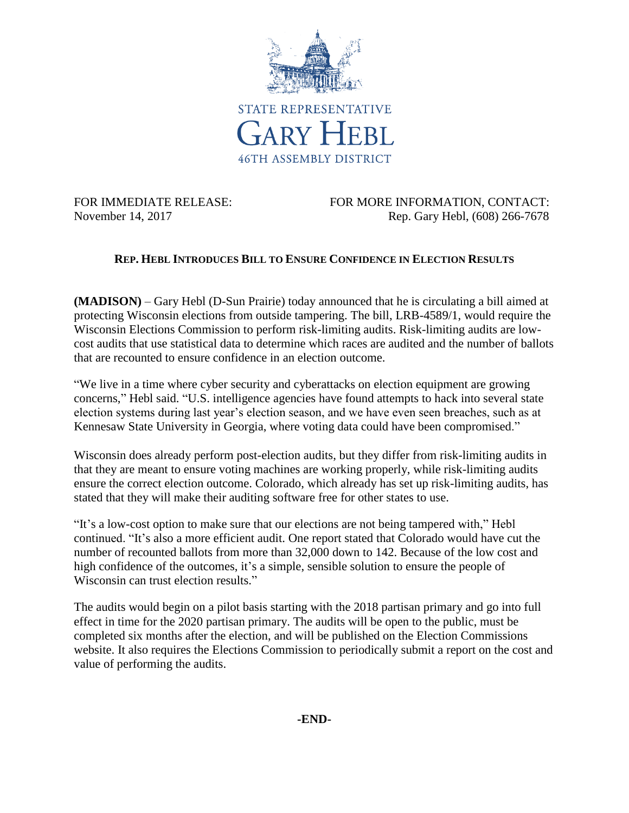

FOR IMMEDIATE RELEASE: FOR MORE INFORMATION, CONTACT: November 14, 2017 Rep. Gary Hebl, (608) 266-7678

## **REP. HEBL INTRODUCES BILL TO ENSURE CONFIDENCE IN ELECTION RESULTS**

**(MADISON)** – Gary Hebl (D-Sun Prairie) today announced that he is circulating a bill aimed at protecting Wisconsin elections from outside tampering. The bill, LRB-4589/1, would require the Wisconsin Elections Commission to perform risk-limiting audits. Risk-limiting audits are lowcost audits that use statistical data to determine which races are audited and the number of ballots that are recounted to ensure confidence in an election outcome.

"We live in a time where cyber security and cyberattacks on election equipment are growing concerns," Hebl said. "U.S. intelligence agencies have found attempts to hack into several state election systems during last year's election season, and we have even seen breaches, such as at Kennesaw State University in Georgia, where voting data could have been compromised."

Wisconsin does already perform post-election audits, but they differ from risk-limiting audits in that they are meant to ensure voting machines are working properly, while risk-limiting audits ensure the correct election outcome. Colorado, which already has set up risk-limiting audits, has stated that they will make their auditing software free for other states to use.

"It's a low-cost option to make sure that our elections are not being tampered with," Hebl continued. "It's also a more efficient audit. One report stated that Colorado would have cut the number of recounted ballots from more than 32,000 down to 142. Because of the low cost and high confidence of the outcomes, it's a simple, sensible solution to ensure the people of Wisconsin can trust election results."

The audits would begin on a pilot basis starting with the 2018 partisan primary and go into full effect in time for the 2020 partisan primary. The audits will be open to the public, must be completed six months after the election, and will be published on the Election Commissions website. It also requires the Elections Commission to periodically submit a report on the cost and value of performing the audits.

**-END-**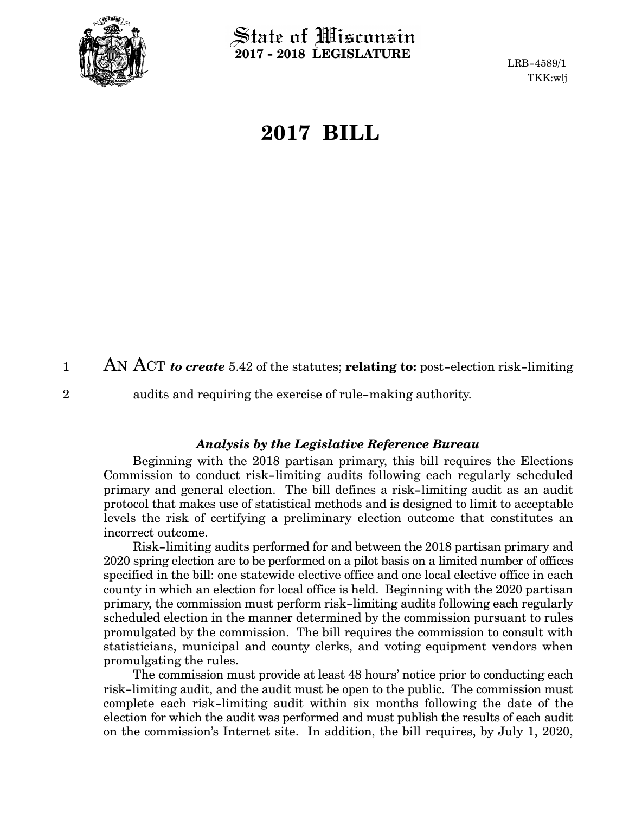

State of Wisconsin **2017 - 2018 LEGISLATURE**

LRB-4589/1 TKK:wlj

# **2017 BILL**

AN ACT *to create* 5.42 of the statutes; **relating to:** post-election risk-limiting 1

2

audits and requiring the exercise of rule-making authority.

#### *Analysis by the Legislative Reference Bureau*

Beginning with the 2018 partisan primary, this bill requires the Elections Commission to conduct risk-limiting audits following each regularly scheduled primary and general election. The bill defines a risk-limiting audit as an audit protocol that makes use of statistical methods and is designed to limit to acceptable levels the risk of certifying a preliminary election outcome that constitutes an incorrect outcome.

Risk-limiting audits performed for and between the 2018 partisan primary and 2020 spring election are to be performed on a pilot basis on a limited number of offices specified in the bill: one statewide elective office and one local elective office in each county in which an election for local office is held. Beginning with the 2020 partisan primary, the commission must perform risk-limiting audits following each regularly scheduled election in the manner determined by the commission pursuant to rules promulgated by the commission. The bill requires the commission to consult with statisticians, municipal and county clerks, and voting equipment vendors when promulgating the rules.

The commission must provide at least 48 hours' notice prior to conducting each risk-limiting audit, and the audit must be open to the public. The commission must complete each risk-limiting audit within six months following the date of the election for which the audit was performed and must publish the results of each audit on the commission's Internet site. In addition, the bill requires, by July 1, 2020,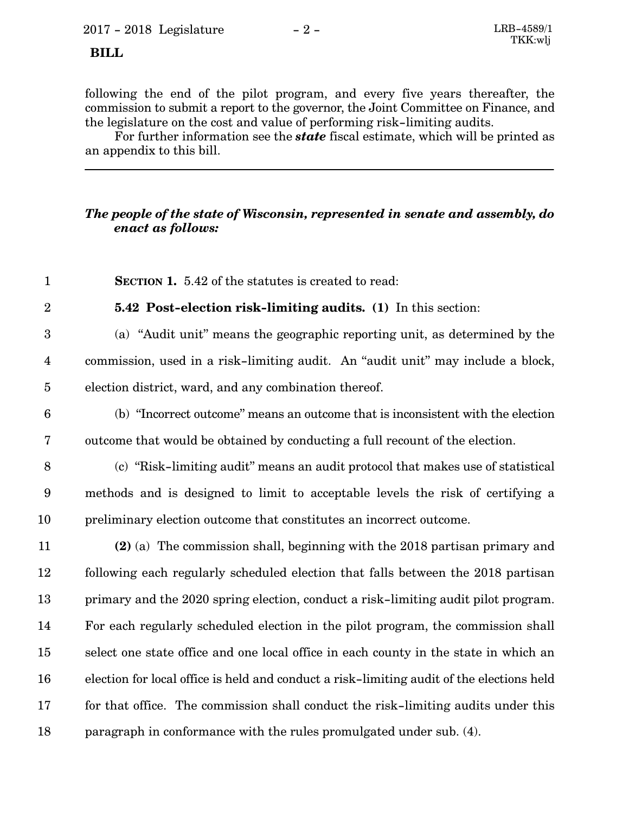## **BILL**

2

following the end of the pilot program, and every five years thereafter, the commission to submit a report to the governor, the Joint Committee on Finance, and the legislature on the cost and value of performing risk-limiting audits.

For further information see the *state* fiscal estimate, which will be printed as an appendix to this bill.

## *The people of the state of Wisconsin, represented in senate and assembly, do enact as follows:*

**SECTION 1.** 5.42 of the statutes is created to read: 1

**5.42 Post-election risk-limiting audits. (1)** In this section:

(a) "Audit unit" means the geographic reporting unit, as determined by the commission, used in a risk-limiting audit. An "audit unit" may include a block, election district, ward, and any combination thereof. 3 4 5

- (b) "Incorrect outcome" means an outcome that is inconsistent with the election outcome that would be obtained by conducting a full recount of the election. 6 7
- (c) "Risk-limiting audit" means an audit protocol that makes use of statistical methods and is designed to limit to acceptable levels the risk of certifying a preliminary election outcome that constitutes an incorrect outcome. 8 9 10

**(2)** (a) The commission shall, beginning with the 2018 partisan primary and following each regularly scheduled election that falls between the 2018 partisan primary and the 2020 spring election, conduct a risk-limiting audit pilot program. For each regularly scheduled election in the pilot program, the commission shall select one state office and one local office in each county in the state in which an election for local office is held and conduct a risk-limiting audit of the elections held for that office. The commission shall conduct the risk-limiting audits under this paragraph in conformance with the rules promulgated under sub. (4). 11 12 13 14 15 16 17 18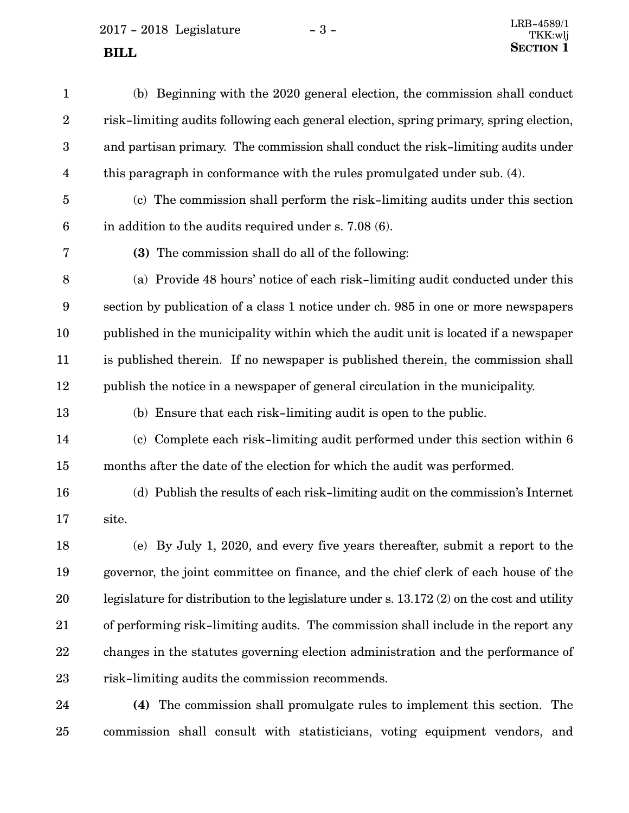$2017 - 2018$  Legislature  $-3 -$  LRB-4589/1 **SECTION** 1

(b) Beginning with the 2020 general election, the commission shall conduct risk-limiting audits following each general election, spring primary, spring election, and partisan primary. The commission shall conduct the risk-limiting audits under this paragraph in conformance with the rules promulgated under sub. (4). (c) The commission shall perform the risk-limiting audits under this section in addition to the audits required under s. 7.08 (6). **(3)** The commission shall do all of the following: (a) Provide 48 hours' notice of each risk-limiting audit conducted under this section by publication of a class 1 notice under ch. 985 in one or more newspapers published in the municipality within which the audit unit is located if a newspaper is published therein. If no newspaper is published therein, the commission shall publish the notice in a newspaper of general circulation in the municipality. (b) Ensure that each risk-limiting audit is open to the public. (c) Complete each risk-limiting audit performed under this section within 6 months after the date of the election for which the audit was performed. (d) Publish the results of each risk-limiting audit on the commission's Internet site. (e) By July 1, 2020, and every five years thereafter, submit a report to the governor, the joint committee on finance, and the chief clerk of each house of the legislature for distribution to the legislature under s. 13.172 (2) on the cost and utility of performing risk-limiting audits. The commission shall include in the report any changes in the statutes governing election administration and the performance of risk-limiting audits the commission recommends. 1 2 3 4 5 6 7 8 9 10 11 12 13 14 15 16 17 18 19 20 21 22 23

**(4)** The commission shall promulgate rules to implement this section. The commission shall consult with statisticians, voting equipment vendors, and 24 25